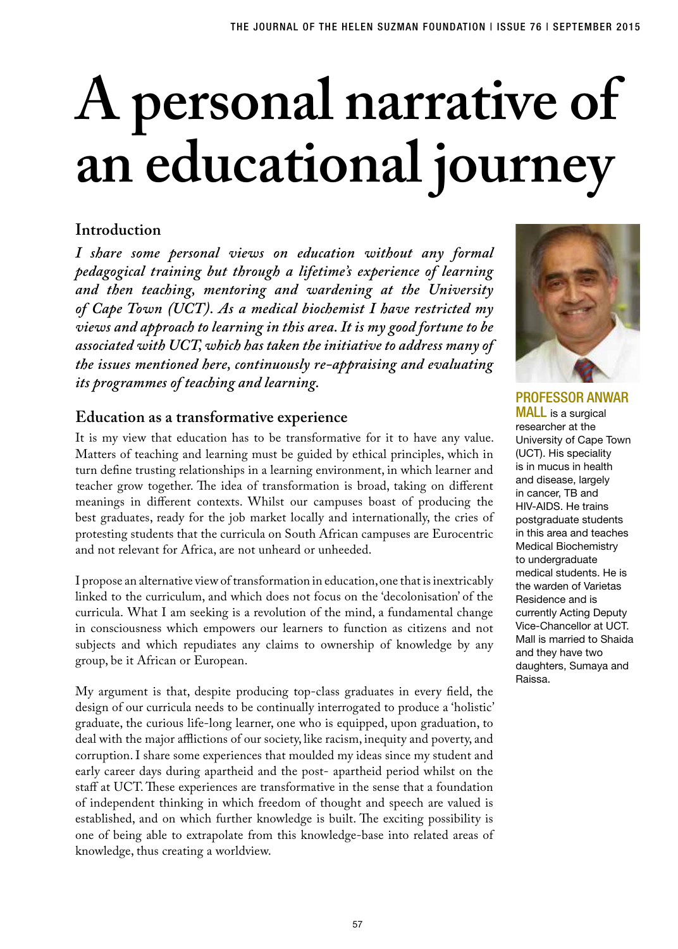# **A personal narrative of an educational journey**

# **Introduction**

*I share some personal views on education without any formal pedagogical training but through a lifetime's experience of learning and then teaching, mentoring and wardening at the University of Cape Town (UCT). As a medical biochemist I have restricted my views and approach to learning in this area. It is my good fortune to be associated with UCT, which has taken the initiative to address many of the issues mentioned here, continuously re-appraising and evaluating its programmes of teaching and learning.* 

# **Education as a transformative experience**

It is my view that education has to be transformative for it to have any value. Matters of teaching and learning must be guided by ethical principles, which in turn define trusting relationships in a learning environment, in which learner and teacher grow together. The idea of transformation is broad, taking on different meanings in different contexts. Whilst our campuses boast of producing the best graduates, ready for the job market locally and internationally, the cries of protesting students that the curricula on South African campuses are Eurocentric and not relevant for Africa, are not unheard or unheeded.

I propose an alternative view of transformation in education, one that is inextricably linked to the curriculum, and which does not focus on the 'decolonisation' of the curricula. What I am seeking is a revolution of the mind, a fundamental change in consciousness which empowers our learners to function as citizens and not subjects and which repudiates any claims to ownership of knowledge by any group, be it African or European.

My argument is that, despite producing top-class graduates in every field, the design of our curricula needs to be continually interrogated to produce a 'holistic' graduate, the curious life-long learner, one who is equipped, upon graduation, to deal with the major afflictions of our society, like racism, inequity and poverty, and corruption. I share some experiences that moulded my ideas since my student and early career days during apartheid and the post- apartheid period whilst on the staff at UCT. These experiences are transformative in the sense that a foundation of independent thinking in which freedom of thought and speech are valued is established, and on which further knowledge is built. The exciting possibility is one of being able to extrapolate from this knowledge-base into related areas of knowledge, thus creating a worldview.



Professor Anwar **MALL** is a surgical researcher at the University of Cape Town (UCT). His speciality

is in mucus in health and disease, largely in cancer, TB and HIV-AIDS. He trains postgraduate students in this area and teaches Medical Biochemistry to undergraduate medical students. He is the warden of Varietas Residence and is currently Acting Deputy Vice-Chancellor at UCT. Mall is married to Shaida and they have two daughters, Sumaya and Raissa.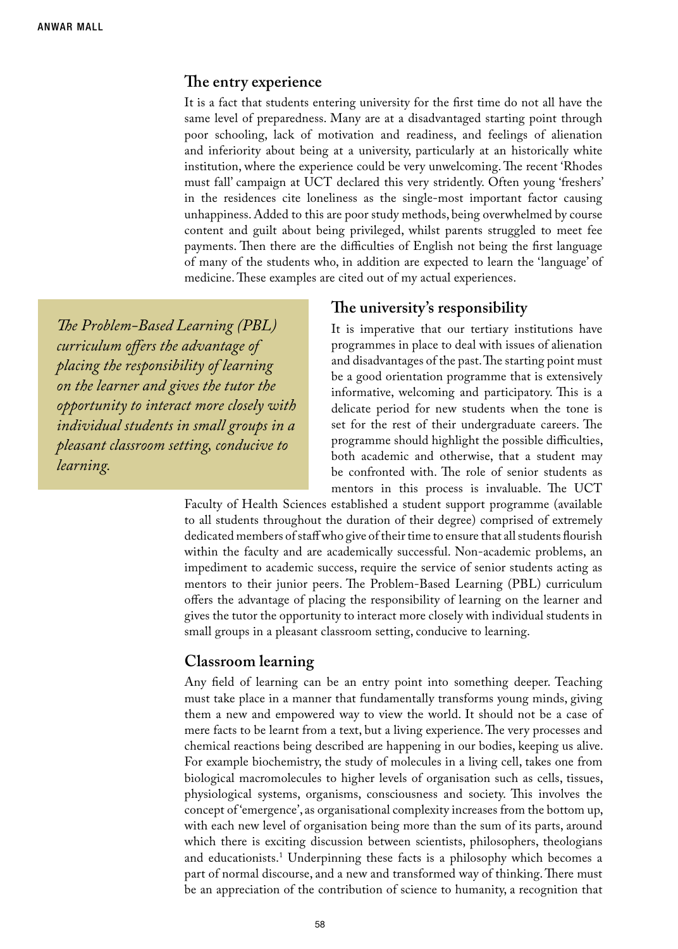#### **The entry experience**

It is a fact that students entering university for the first time do not all have the same level of preparedness. Many are at a disadvantaged starting point through poor schooling, lack of motivation and readiness, and feelings of alienation and inferiority about being at a university, particularly at an historically white institution, where the experience could be very unwelcoming. The recent 'Rhodes must fall' campaign at UCT declared this very stridently. Often young 'freshers' in the residences cite loneliness as the single-most important factor causing unhappiness. Added to this are poor study methods, being overwhelmed by course content and guilt about being privileged, whilst parents struggled to meet fee payments. Then there are the difficulties of English not being the first language of many of the students who, in addition are expected to learn the 'language' of medicine. These examples are cited out of my actual experiences.

*The Problem-Based Learning (PBL) curriculum offers the advantage of placing the responsibility of learning on the learner and gives the tutor the opportunity to interact more closely with individual students in small groups in a pleasant classroom setting, conducive to learning.* 

#### **The university's responsibility**

It is imperative that our tertiary institutions have programmes in place to deal with issues of alienation and disadvantages of the past. The starting point must be a good orientation programme that is extensively informative, welcoming and participatory. This is a delicate period for new students when the tone is set for the rest of their undergraduate careers. The programme should highlight the possible difficulties, both academic and otherwise, that a student may be confronted with. The role of senior students as mentors in this process is invaluable. The UCT

Faculty of Health Sciences established a student support programme (available to all students throughout the duration of their degree) comprised of extremely dedicated members of staff who give of their time to ensure that all students flourish within the faculty and are academically successful. Non-academic problems, an impediment to academic success, require the service of senior students acting as mentors to their junior peers. The Problem-Based Learning (PBL) curriculum offers the advantage of placing the responsibility of learning on the learner and gives the tutor the opportunity to interact more closely with individual students in small groups in a pleasant classroom setting, conducive to learning.

#### **Classroom learning**

Any field of learning can be an entry point into something deeper. Teaching must take place in a manner that fundamentally transforms young minds, giving them a new and empowered way to view the world. It should not be a case of mere facts to be learnt from a text, but a living experience. The very processes and chemical reactions being described are happening in our bodies, keeping us alive. For example biochemistry, the study of molecules in a living cell, takes one from biological macromolecules to higher levels of organisation such as cells, tissues, physiological systems, organisms, consciousness and society. This involves the concept of 'emergence', as organisational complexity increases from the bottom up, with each new level of organisation being more than the sum of its parts, around which there is exciting discussion between scientists, philosophers, theologians and educationists.1 Underpinning these facts is a philosophy which becomes a part of normal discourse, and a new and transformed way of thinking. There must be an appreciation of the contribution of science to humanity, a recognition that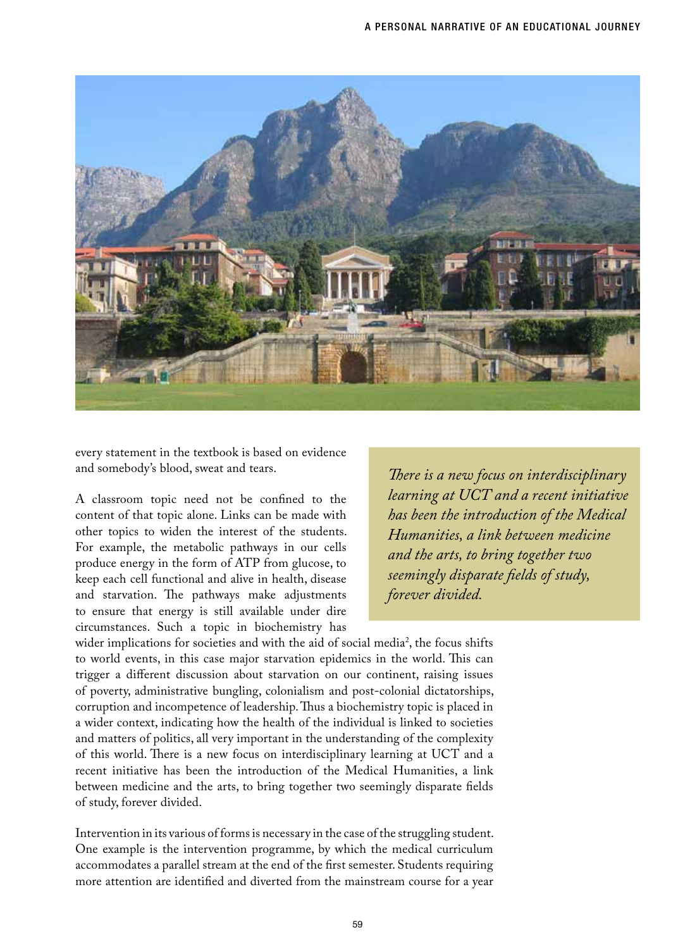

every statement in the textbook is based on evidence and somebody's blood, sweat and tears.

A classroom topic need not be confined to the content of that topic alone. Links can be made with other topics to widen the interest of the students. For example, the metabolic pathways in our cells produce energy in the form of ATP from glucose, to keep each cell functional and alive in health, disease and starvation. The pathways make adjustments to ensure that energy is still available under dire circumstances. Such a topic in biochemistry has

*There is a new focus on interdisciplinary learning at UCT and a recent initiative has been the introduction of the Medical Humanities, a link between medicine and the arts, to bring together two seemingly disparate fields of study, forever divided.*

wider implications for societies and with the aid of social media<sup>2</sup>, the focus shifts to world events, in this case major starvation epidemics in the world. This can trigger a different discussion about starvation on our continent, raising issues of poverty, administrative bungling, colonialism and post-colonial dictatorships, corruption and incompetence of leadership. Thus a biochemistry topic is placed in a wider context, indicating how the health of the individual is linked to societies and matters of politics, all very important in the understanding of the complexity of this world. There is a new focus on interdisciplinary learning at UCT and a recent initiative has been the introduction of the Medical Humanities, a link between medicine and the arts, to bring together two seemingly disparate fields of study, forever divided.

Intervention in its various of forms is necessary in the case of the struggling student. One example is the intervention programme, by which the medical curriculum accommodates a parallel stream at the end of the first semester. Students requiring more attention are identified and diverted from the mainstream course for a year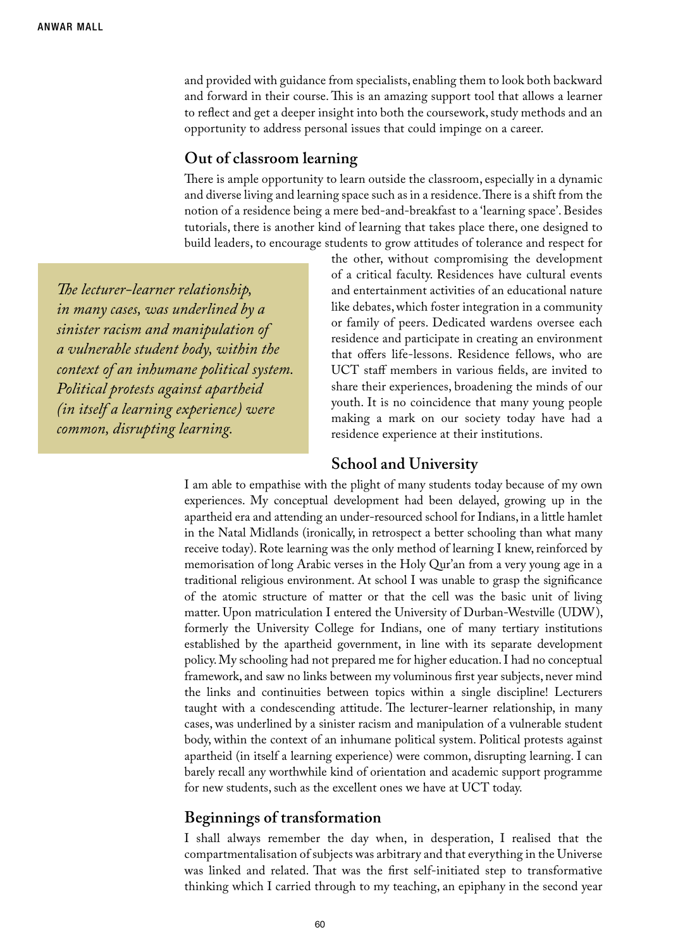and provided with guidance from specialists, enabling them to look both backward and forward in their course. This is an amazing support tool that allows a learner to reflect and get a deeper insight into both the coursework, study methods and an opportunity to address personal issues that could impinge on a career.

#### **Out of classroom learning**

There is ample opportunity to learn outside the classroom, especially in a dynamic and diverse living and learning space such as in a residence. There is a shift from the notion of a residence being a mere bed-and-breakfast to a 'learning space'. Besides tutorials, there is another kind of learning that takes place there, one designed to build leaders, to encourage students to grow attitudes of tolerance and respect for

*The lecturer-learner relationship, in many cases, was underlined by a sinister racism and manipulation of a vulnerable student body, within the context of an inhumane political system. Political protests against apartheid (in itself a learning experience) were common, disrupting learning.*

#### the other, without compromising the development of a critical faculty. Residences have cultural events and entertainment activities of an educational nature like debates, which foster integration in a community or family of peers. Dedicated wardens oversee each residence and participate in creating an environment that offers life-lessons. Residence fellows, who are UCT staff members in various fields, are invited to share their experiences, broadening the minds of our youth. It is no coincidence that many young people making a mark on our society today have had a residence experience at their institutions.

#### **School and University**

I am able to empathise with the plight of many students today because of my own experiences. My conceptual development had been delayed, growing up in the apartheid era and attending an under-resourced school for Indians, in a little hamlet in the Natal Midlands (ironically, in retrospect a better schooling than what many receive today). Rote learning was the only method of learning I knew, reinforced by memorisation of long Arabic verses in the Holy Qur'an from a very young age in a traditional religious environment. At school I was unable to grasp the significance of the atomic structure of matter or that the cell was the basic unit of living matter. Upon matriculation I entered the University of Durban-Westville (UDW), formerly the University College for Indians, one of many tertiary institutions established by the apartheid government, in line with its separate development policy. My schooling had not prepared me for higher education. I had no conceptual framework, and saw no links between my voluminous first year subjects, never mind the links and continuities between topics within a single discipline! Lecturers taught with a condescending attitude. The lecturer-learner relationship, in many cases, was underlined by a sinister racism and manipulation of a vulnerable student body, within the context of an inhumane political system. Political protests against apartheid (in itself a learning experience) were common, disrupting learning. I can barely recall any worthwhile kind of orientation and academic support programme for new students, such as the excellent ones we have at UCT today.

# **Beginnings of transformation**

I shall always remember the day when, in desperation, I realised that the compartmentalisation of subjects was arbitrary and that everything in the Universe was linked and related. That was the first self-initiated step to transformative thinking which I carried through to my teaching, an epiphany in the second year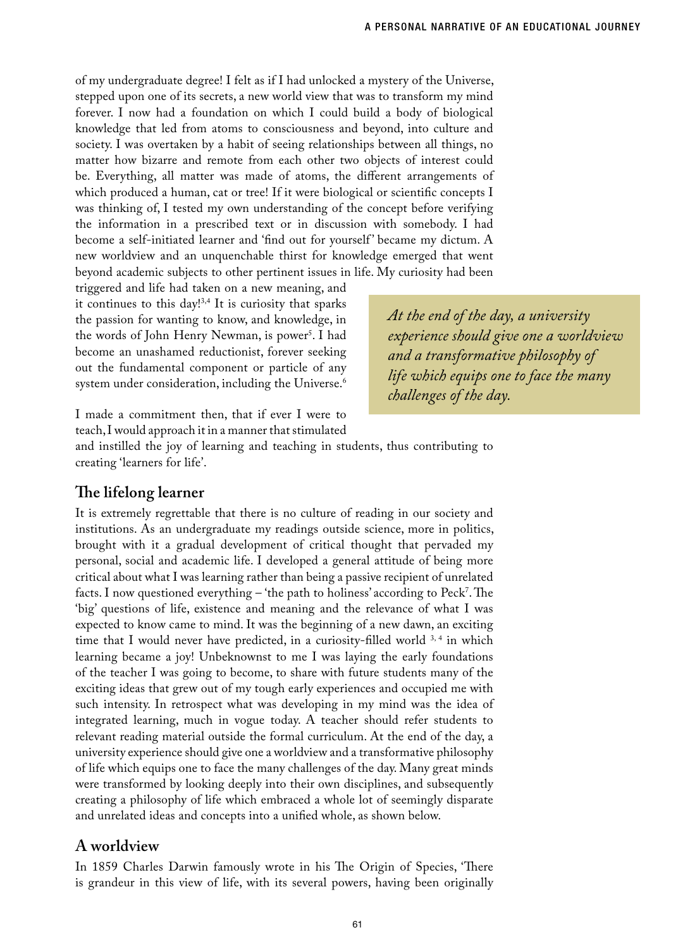of my undergraduate degree! I felt as if I had unlocked a mystery of the Universe, stepped upon one of its secrets, a new world view that was to transform my mind forever. I now had a foundation on which I could build a body of biological knowledge that led from atoms to consciousness and beyond, into culture and society. I was overtaken by a habit of seeing relationships between all things, no matter how bizarre and remote from each other two objects of interest could be. Everything, all matter was made of atoms, the different arrangements of which produced a human, cat or tree! If it were biological or scientific concepts I was thinking of, I tested my own understanding of the concept before verifying the information in a prescribed text or in discussion with somebody. I had become a self-initiated learner and 'find out for yourself' became my dictum. A new worldview and an unquenchable thirst for knowledge emerged that went beyond academic subjects to other pertinent issues in life. My curiosity had been

triggered and life had taken on a new meaning, and it continues to this day!3,4 It is curiosity that sparks the passion for wanting to know, and knowledge, in the words of John Henry Newman, is power<sup>5</sup>. I had become an unashamed reductionist, forever seeking out the fundamental component or particle of any system under consideration, including the Universe.<sup>6</sup>

*At the end of the day, a university experience should give one a worldview and a transformative philosophy of life which equips one to face the many challenges of the day.*

I made a commitment then, that if ever I were to teach, I would approach it in a manner that stimulated

and instilled the joy of learning and teaching in students, thus contributing to creating 'learners for life'.

# **The lifelong learner**

It is extremely regrettable that there is no culture of reading in our society and institutions. As an undergraduate my readings outside science, more in politics, brought with it a gradual development of critical thought that pervaded my personal, social and academic life. I developed a general attitude of being more critical about what I was learning rather than being a passive recipient of unrelated facts. I now questioned everything – 'the path to holiness' according to Peck'. The 'big' questions of life, existence and meaning and the relevance of what I was expected to know came to mind. It was the beginning of a new dawn, an exciting time that I would never have predicted, in a curiosity-filled world  $3,4$  in which learning became a joy! Unbeknownst to me I was laying the early foundations of the teacher I was going to become, to share with future students many of the exciting ideas that grew out of my tough early experiences and occupied me with such intensity. In retrospect what was developing in my mind was the idea of integrated learning, much in vogue today. A teacher should refer students to relevant reading material outside the formal curriculum. At the end of the day, a university experience should give one a worldview and a transformative philosophy of life which equips one to face the many challenges of the day. Many great minds were transformed by looking deeply into their own disciplines, and subsequently creating a philosophy of life which embraced a whole lot of seemingly disparate and unrelated ideas and concepts into a unified whole, as shown below.

# **A worldview**

In 1859 Charles Darwin famously wrote in his The Origin of Species, 'There is grandeur in this view of life, with its several powers, having been originally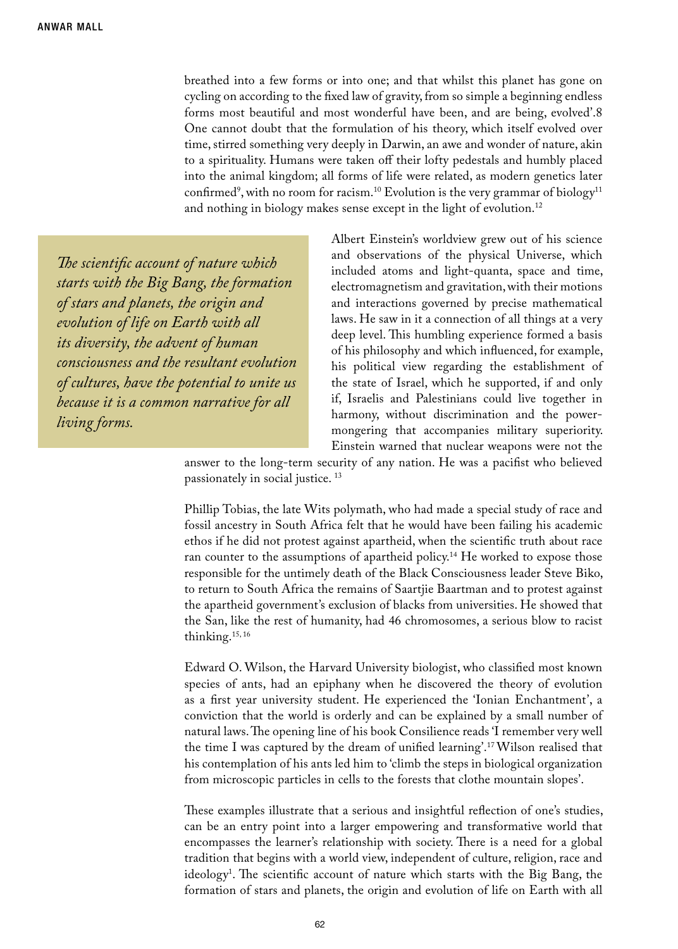breathed into a few forms or into one; and that whilst this planet has gone on cycling on according to the fixed law of gravity, from so simple a beginning endless forms most beautiful and most wonderful have been, and are being, evolved'.8 One cannot doubt that the formulation of his theory, which itself evolved over time, stirred something very deeply in Darwin, an awe and wonder of nature, akin to a spirituality. Humans were taken off their lofty pedestals and humbly placed into the animal kingdom; all forms of life were related, as modern genetics later confirmed', with no room for racism.<sup>10</sup> Evolution is the very grammar of biology<sup>11</sup> and nothing in biology makes sense except in the light of evolution.<sup>12</sup>

*The scientific account of nature which starts with the Big Bang, the formation of stars and planets, the origin and evolution of life on Earth with all its diversity, the advent of human consciousness and the resultant evolution of cultures, have the potential to unite us because it is a common narrative for all living forms.*

Albert Einstein's worldview grew out of his science and observations of the physical Universe, which included atoms and light-quanta, space and time, electromagnetism and gravitation, with their motions and interactions governed by precise mathematical laws. He saw in it a connection of all things at a very deep level. This humbling experience formed a basis of his philosophy and which influenced, for example, his political view regarding the establishment of the state of Israel, which he supported, if and only if, Israelis and Palestinians could live together in harmony, without discrimination and the powermongering that accompanies military superiority. Einstein warned that nuclear weapons were not the

answer to the long-term security of any nation. He was a pacifist who believed passionately in social justice. 13

Phillip Tobias, the late Wits polymath, who had made a special study of race and fossil ancestry in South Africa felt that he would have been failing his academic ethos if he did not protest against apartheid, when the scientific truth about race ran counter to the assumptions of apartheid policy.<sup>14</sup> He worked to expose those responsible for the untimely death of the Black Consciousness leader Steve Biko, to return to South Africa the remains of Saartjie Baartman and to protest against the apartheid government's exclusion of blacks from universities. He showed that the San, like the rest of humanity, had 46 chromosomes, a serious blow to racist thinking.15, 16

Edward O. Wilson, the Harvard University biologist, who classified most known species of ants, had an epiphany when he discovered the theory of evolution as a first year university student. He experienced the 'Ionian Enchantment', a conviction that the world is orderly and can be explained by a small number of natural laws. The opening line of his book Consilience reads 'I remember very well the time I was captured by the dream of unified learning'.17 Wilson realised that his contemplation of his ants led him to 'climb the steps in biological organization from microscopic particles in cells to the forests that clothe mountain slopes'.

These examples illustrate that a serious and insightful reflection of one's studies, can be an entry point into a larger empowering and transformative world that encompasses the learner's relationship with society. There is a need for a global tradition that begins with a world view, independent of culture, religion, race and ideology1 . The scientific account of nature which starts with the Big Bang, the formation of stars and planets, the origin and evolution of life on Earth with all